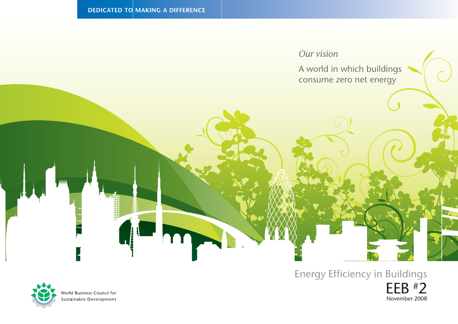

## Energy Efficiency in Buildings



World Business Council for Sustainable Development EEB #2 November 2008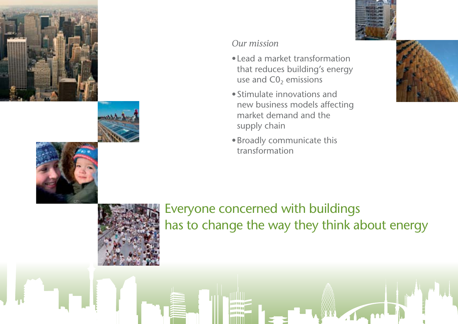







### *Our mission*

- •Lead a market transformation that reduces building's energy use and  $CO<sub>2</sub>$  emissions
- •Stimulate innovations and new business models affecting market demand and the supply chain
- •Broadly communicate this transformation





Everyone concerned with buildings has to change the way they think about energy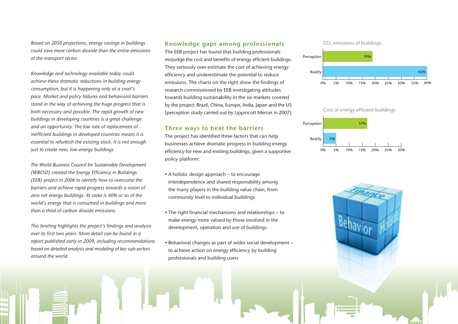*Based on 2050 projections, energy savings in buildings could save more carbon dioxide than the entire emissions of the transport sector.* 

*Knowledge and technology available today could achieve these dramatic reductions in building energy consumption, but it is happening only at a snail's pace. Market and policy failures and behavioral barriers stand in the way of achieving the huge progress that is both necessary and possible. The rapid growth of new buildings in developing countries is a great challenge and an opportunity. The low rate of replacement of inefficient buildings in developed countries means it is essential to refurbish the existing stock. It is not enough just to create new, low-energy buildings.*

*The World Business Council for Sustainable Development (WBCSD) created the Energy Efficiency in Buildings (EEB) project in 2006 to identify how to overcome the barriers and achieve rapid progress towards a vision of zero net energy buildings. At stake is 40% or so of the world's energy that is consumed in buildings and more than a third of carbon dioxide emissions.* 

*This briefing highlights the project's findings and analysis over its first two years. More detail can be found in a report published early in 2009, including recommendations based on detailed analysis and modeling of key sub-sectors around the world.*

m 1 I I I

#### Knowledge gaps among professionals

The EEB project has found that building professionals misjudge the cost and benefits of energy efficient buildings. They seriously over-estimate the cost of achieving energy efficiency and underestimate the potential to reduce emissions. The charts on the right show the findings of research commissioned by EEB investigating attitudes towards building sustainability in the six markets covered by the project: Brazil, China, Europe, India, Japan and the US (perception study carried out by Lippincott Mercer in 2007).

#### Three ways to beat the barriers

The project has identified three factors that can help businesses achieve dramatic progress in building energy efficiency for new and existing buildings, given a supportive policy platform:

- A holistic design approach to encourage interdependence and shared responsibility among the many players in the building value chain, from community level to individual buildings
- The right financial mechanisms and relationships to make energy more valued by those involved in the development, operation and use of buildings
- Behavioral changes as part of wider social development to achieve action on energy efficiency by building professionals and building users





Cost of energy-efficient buildings



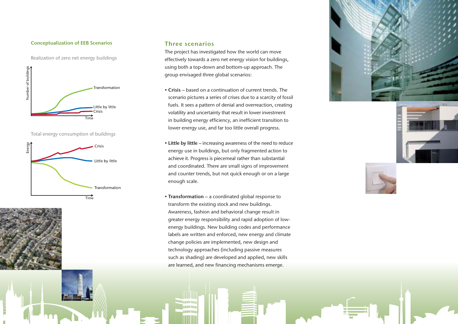#### Conceptualization of EEB Scenarios

Realization of zero net energy buildings



Total energy consumption of buildings



#### Three scenarios

The project has investigated how the world can move effectively towards a zero net energy vision for buildings, using both a top-down and bottom-up approach. The group envisaged three global scenarios:

- Crisis based on a continuation of current trends. The scenario pictures a series of crises due to a scarcity of fossil fuels. It sees a pattern of denial and overreaction, creating volatility and uncertainty that result in lower investment in building energy efficiency, an inefficient transition to lower energy use, and far too little overall progress.
- Little by little increasing awareness of the need to reduce energy use in buildings, but only fragmented action to achieve it. Progress is piecemeal rather than substantial and coordinated. There are small signs of improvement and counter trends, but not quick enough or on a large enough scale.
- Transformation a coordinated global response to transform the existing stock and new buildings. Awareness, fashion and behavioral change result in greater energy responsibility and rapid adoption of lowenergy buildings. New building codes and performance labels are written and enforced, new energy and climate change policies are implemented, new design and technology approaches (including passive measures such as shading) are developed and applied, new skills are learned, and new financing mechanisms emerge.

**TIME COLOR** an m





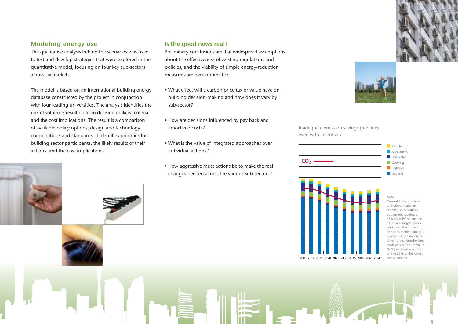#### Modeling energy use

The qualitative analysis behind the scenarios was used to test and develop strategies that were explored in the quantitative model, focusing on four key sub-sectors across six markets.

The model is based on an international building energy database constructed by the project in conjunction with four leading universities. The analysis identifies the mix of solutions resulting from decision-makers' criteria and the cost implications. The result is a comparison of available policy options, design and technology combinations and standards. It identifies priorities for building sector participants, the likely results of their actions, and the cost implications.

#### Is the good news real?

Preliminary conclusions are that widespread assumptions about the effectiveness of existing regulations and policies, and the viability of simple energy-reduction measures are over-optimistic:

- What effect will a carbon price tax or value have on building decision-making and how does it vary by sub-sector?
- How are decisions influenced by pay back and amortized costs?
- What is the value of integrated approaches over individual actions?
- How aggressive must actions be to make the real changes needed across the various sub-sectors?



Inadequate emission savings (red line) even with incentives



Current French policies with 20% insulation rebates, 35% heating equipment rebates, a 65% solar PV rebate and 5X solar energy buyback price with the following decisions of the building's owner: 100% financially driven, 5-year time horizon, positive Net Present Value (NPV) and cost must be within 25% of the lowest cost alternative.

an Militar